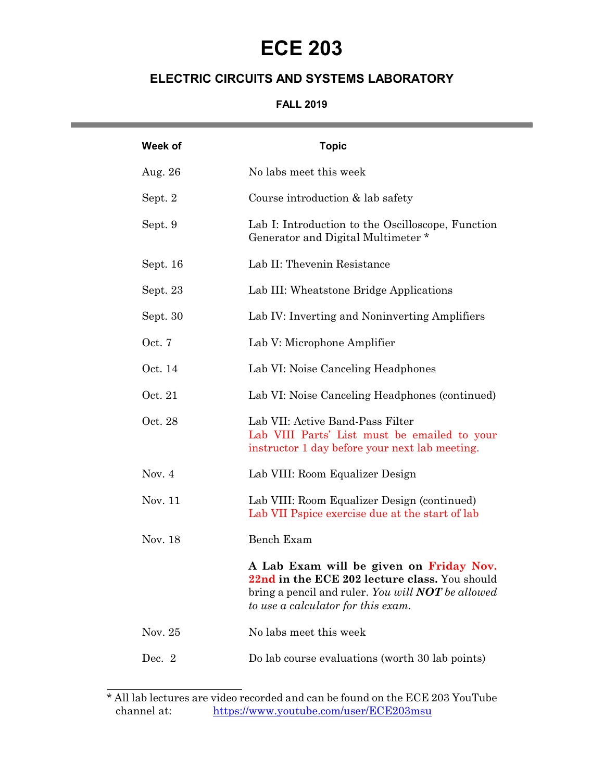# **ECE 203**

# **ELECTRIC CIRCUITS AND SYSTEMS LABORATORY**

## **FALL 2019** <u> 1989 - Johann Barnett, mars et al. 1989 - Anna anno 1989 - Anna ann an t-</u>

| Week of  | <b>Topic</b>                                                                                                                                                                               |
|----------|--------------------------------------------------------------------------------------------------------------------------------------------------------------------------------------------|
| Aug. 26  | No labs meet this week                                                                                                                                                                     |
| Sept. 2  | Course introduction & lab safety                                                                                                                                                           |
| Sept. 9  | Lab I: Introduction to the Oscilloscope, Function<br>Generator and Digital Multimeter *                                                                                                    |
| Sept. 16 | Lab II: Thevenin Resistance                                                                                                                                                                |
| Sept. 23 | Lab III: Wheatstone Bridge Applications                                                                                                                                                    |
| Sept. 30 | Lab IV: Inverting and Noninverting Amplifiers                                                                                                                                              |
| Oct. 7   | Lab V: Microphone Amplifier                                                                                                                                                                |
| Oct. 14  | Lab VI: Noise Canceling Headphones                                                                                                                                                         |
| Oct. 21  | Lab VI: Noise Canceling Headphones (continued)                                                                                                                                             |
| Oct. 28  | Lab VII: Active Band-Pass Filter<br>Lab VIII Parts' List must be emailed to your<br>instructor 1 day before your next lab meeting.                                                         |
| Nov. $4$ | Lab VIII: Room Equalizer Design                                                                                                                                                            |
| Nov. 11  | Lab VIII: Room Equalizer Design (continued)<br>Lab VII Pspice exercise due at the start of lab                                                                                             |
| Nov. 18  | Bench Exam                                                                                                                                                                                 |
|          | A Lab Exam will be given on Friday Nov.<br>22nd in the ECE 202 lecture class. You should<br>bring a pencil and ruler. You will <b>NOT</b> be allowed<br>to use a calculator for this exam. |
| Nov. 25  | No labs meet this week                                                                                                                                                                     |
| Dec. $2$ | Do lab course evaluations (worth 30 lab points)                                                                                                                                            |

 $\overline{a}$ 

<sup>\*</sup> All lab lectures are video recorded and can be found on the ECE 203 YouTube channel at: https://www.youtube.com/user/ECE203msu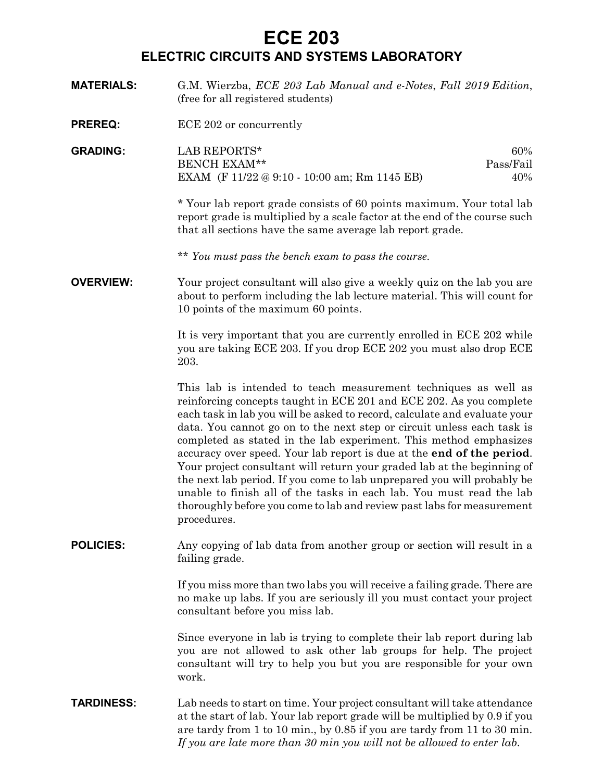# **ECE 203**

## **ELECTRIC CIRCUITS AND SYSTEMS LABORATORY**

**MATERIALS:** G.M. Wierzba, *ECE 203 Lab Manual and e-Notes*, *Fall 2019 Edition*, (free for all registered students) **PREREQ:** ECE 202 or concurrently **GRADING:** LAB REPORTS\* 60% BENCH EXAM\*\* Pass/Fail

> EXAM (F 11/22 @ 9:10 - 10:00 am; Rm 1145 EB) 40% *\** Your lab report grade consists of 60 points maximum. Your total lab

report grade is multiplied by a scale factor at the end of the course such that all sections have the same average lab report grade.

\*\* *You must pass the bench exam to pass the course.*

**OVERVIEW:** Your project consultant will also give a weekly quiz on the lab you are about to perform including the lab lecture material. This will count for 10 points of the maximum 60 points.

> It is very important that you are currently enrolled in ECE 202 while you are taking ECE 203. If you drop ECE 202 you must also drop ECE 203.

> This lab is intended to teach measurement techniques as well as reinforcing concepts taught in ECE 201 and ECE 202. As you complete each task in lab you will be asked to record, calculate and evaluate your data. You cannot go on to the next step or circuit unless each task is completed as stated in the lab experiment. This method emphasizes accuracy over speed. Your lab report is due at the **end of the period**. Your project consultant will return your graded lab at the beginning of the next lab period. If you come to lab unprepared you will probably be unable to finish all of the tasks in each lab. You must read the lab thoroughly before you come to lab and review past labs for measurement procedures.

**POLICIES:** Any copying of lab data from another group or section will result in a failing grade.

> If you miss more than two labs you will receive a failing grade. There are no make up labs. If you are seriously ill you must contact your project consultant before you miss lab.

> Since everyone in lab is trying to complete their lab report during lab you are not allowed to ask other lab groups for help. The project consultant will try to help you but you are responsible for your own work.

**TARDINESS:** Lab needs to start on time. Your project consultant will take attendance at the start of lab. Your lab report grade will be multiplied by 0.9 if you are tardy from 1 to 10 min., by 0.85 if you are tardy from 11 to 30 min. *If you are late more than 30 min you will not be allowed to enter lab*.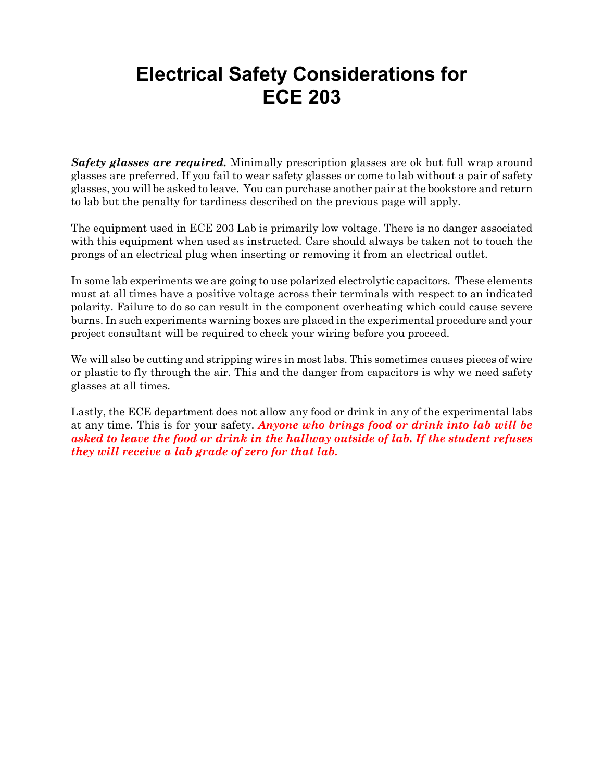# **Electrical Safety Considerations for ECE 203**

*Safety glasses are required.* Minimally prescription glasses are ok but full wrap around glasses are preferred. If you fail to wear safety glasses or come to lab without a pair of safety glasses, you will be asked to leave. You can purchase another pair at the bookstore and return to lab but the penalty for tardiness described on the previous page will apply.

The equipment used in ECE 203 Lab is primarily low voltage. There is no danger associated with this equipment when used as instructed. Care should always be taken not to touch the prongs of an electrical plug when inserting or removing it from an electrical outlet.

In some lab experiments we are going to use polarized electrolytic capacitors. These elements must at all times have a positive voltage across their terminals with respect to an indicated polarity. Failure to do so can result in the component overheating which could cause severe burns. In such experiments warning boxes are placed in the experimental procedure and your project consultant will be required to check your wiring before you proceed.

We will also be cutting and stripping wires in most labs. This sometimes causes pieces of wire or plastic to fly through the air. This and the danger from capacitors is why we need safety glasses at all times.

Lastly, the ECE department does not allow any food or drink in any of the experimental labs at any time. This is for your safety. *Anyone who brings food or drink into lab will be asked to leave the food or drink in the hallway outside of lab. If the student refuses they will receive a lab grade of zero for that lab.*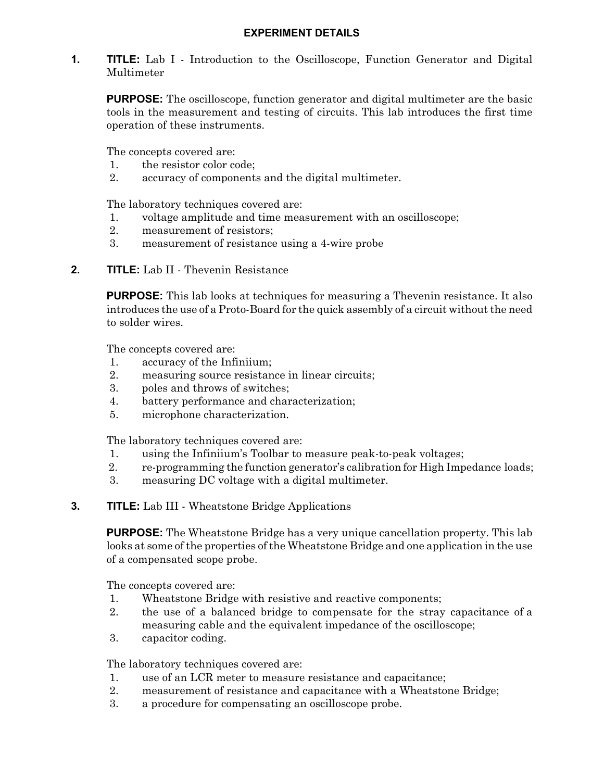**1. TITLE:** Lab I - Introduction to the Oscilloscope, Function Generator and Digital Multimeter

**PURPOSE:** The oscilloscope, function generator and digital multimeter are the basic tools in the measurement and testing of circuits. This lab introduces the first time operation of these instruments.

The concepts covered are:

- 1. the resistor color code;
- 2. accuracy of components and the digital multimeter.

The laboratory techniques covered are:

- 1. voltage amplitude and time measurement with an oscilloscope;
- 2. measurement of resistors;
- 3. measurement of resistance using a 4-wire probe
- **2. TITLE:** Lab II Thevenin Resistance

**PURPOSE:** This lab looks at techniques for measuring a Thevenin resistance. It also introduces the use of a Proto-Board for the quick assembly of a circuit without the need to solder wires.

The concepts covered are:

- 1. accuracy of the Infiniium;
- 2. measuring source resistance in linear circuits;
- 3. poles and throws of switches;
- 4. battery performance and characterization;
- 5. microphone characterization.

The laboratory techniques covered are:

- 1. using the Infiniium's Toolbar to measure peak-to-peak voltages;
- 2. re-programming the function generator's calibration for High Impedance loads;
- 3. measuring DC voltage with a digital multimeter.
- **3. TITLE:** Lab III Wheatstone Bridge Applications

**PURPOSE:** The Wheatstone Bridge has a very unique cancellation property. This lab looks at some of the properties of the Wheatstone Bridge and one application in the use of a compensated scope probe.

The concepts covered are:

- 1. Wheatstone Bridge with resistive and reactive components;
- 2. the use of a balanced bridge to compensate for the stray capacitance of a measuring cable and the equivalent impedance of the oscilloscope;
- 3. capacitor coding.

The laboratory techniques covered are:

- 1. use of an LCR meter to measure resistance and capacitance;
- 2. measurement of resistance and capacitance with a Wheatstone Bridge;
- 3. a procedure for compensating an oscilloscope probe.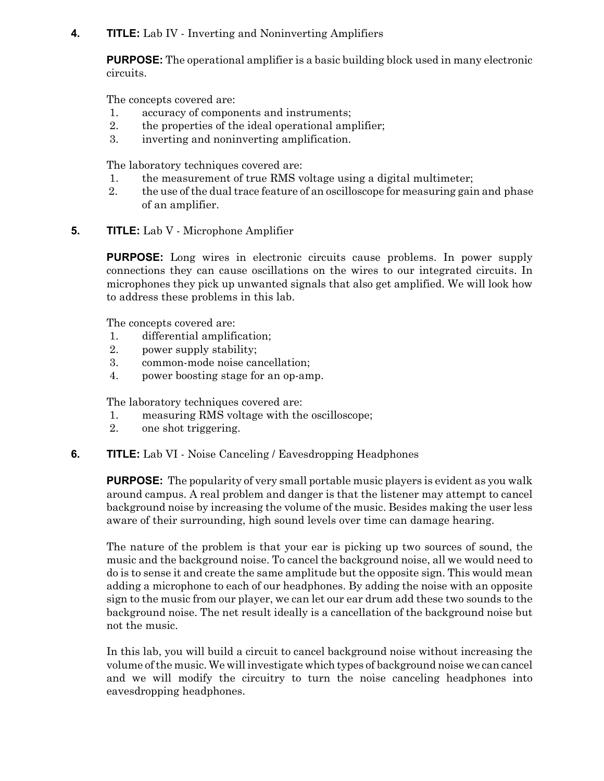#### **4. TITLE:** Lab IV - Inverting and Noninverting Amplifiers

**PURPOSE:** The operational amplifier is a basic building block used in many electronic circuits.

The concepts covered are:

- 1. accuracy of components and instruments;
- 2. the properties of the ideal operational amplifier;
- 3. inverting and noninverting amplification.

The laboratory techniques covered are:

- 1. the measurement of true RMS voltage using a digital multimeter;
- 2. the use of the dual trace feature of an oscilloscope for measuring gain and phase of an amplifier.
- **5. TITLE:** Lab V Microphone Amplifier

**PURPOSE:** Long wires in electronic circuits cause problems. In power supply connections they can cause oscillations on the wires to our integrated circuits. In microphones they pick up unwanted signals that also get amplified. We will look how to address these problems in this lab.

The concepts covered are:

- 1. differential amplification;
- 2. power supply stability;
- 3. common-mode noise cancellation;
- 4. power boosting stage for an op-amp.

The laboratory techniques covered are:

- 1. measuring RMS voltage with the oscilloscope;
- 2. one shot triggering.

#### **6. TITLE:** Lab VI - Noise Canceling / Eavesdropping Headphones

**PURPOSE:** The popularity of very small portable music players is evident as you walk around campus. A real problem and danger is that the listener may attempt to cancel background noise by increasing the volume of the music. Besides making the user less aware of their surrounding, high sound levels over time can damage hearing.

The nature of the problem is that your ear is picking up two sources of sound, the music and the background noise. To cancel the background noise, all we would need to do is to sense it and create the same amplitude but the opposite sign. This would mean adding a microphone to each of our headphones. By adding the noise with an opposite sign to the music from our player, we can let our ear drum add these two sounds to the background noise. The net result ideally is a cancellation of the background noise but not the music.

In this lab, you will build a circuit to cancel background noise without increasing the volume of the music. We will investigate which types of background noise we can cancel and we will modify the circuitry to turn the noise canceling headphones into eavesdropping headphones.